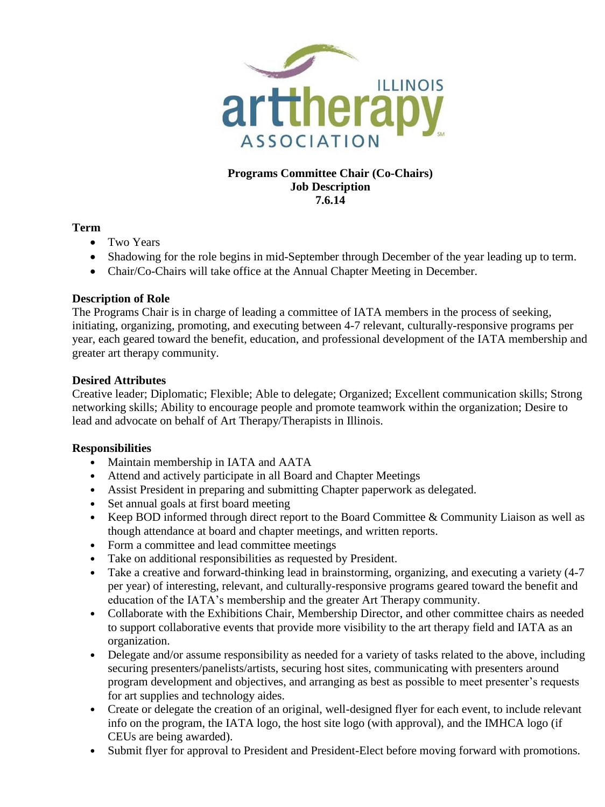

# **Programs Committee Chair (Co-Chairs) Job Description 7.6.14**

## **Term**

- Two Years
- Shadowing for the role begins in mid-September through December of the year leading up to term.
- Chair/Co-Chairs will take office at the Annual Chapter Meeting in December.

## **Description of Role**

The Programs Chair is in charge of leading a committee of IATA members in the process of seeking, initiating, organizing, promoting, and executing between 4-7 relevant, culturally-responsive programs per year, each geared toward the benefit, education, and professional development of the IATA membership and greater art therapy community.

# **Desired Attributes**

Creative leader; Diplomatic; Flexible; Able to delegate; Organized; Excellent communication skills; Strong networking skills; Ability to encourage people and promote teamwork within the organization; Desire to lead and advocate on behalf of Art Therapy/Therapists in Illinois.

### **Responsibilities**

- Maintain membership in IATA and AATA
- Attend and actively participate in all Board and Chapter Meetings
- Assist President in preparing and submitting Chapter paperwork as delegated.
- Set annual goals at first board meeting
- Keep BOD informed through direct report to the Board Committee & Community Liaison as well as though attendance at board and chapter meetings, and written reports.
- Form a committee and lead committee meetings
- Take on additional responsibilities as requested by President.
- Take a creative and forward-thinking lead in brainstorming, organizing, and executing a variety (4-7 per year) of interesting, relevant, and culturally-responsive programs geared toward the benefit and education of the IATA's membership and the greater Art Therapy community.
- Collaborate with the Exhibitions Chair, Membership Director, and other committee chairs as needed to support collaborative events that provide more visibility to the art therapy field and IATA as an organization.
- Delegate and/or assume responsibility as needed for a variety of tasks related to the above, including securing presenters/panelists/artists, securing host sites, communicating with presenters around program development and objectives, and arranging as best as possible to meet presenter's requests for art supplies and technology aides.
- Create or delegate the creation of an original, well-designed flyer for each event, to include relevant info on the program, the IATA logo, the host site logo (with approval), and the IMHCA logo (if CEUs are being awarded).
- Submit flyer for approval to President and President-Elect before moving forward with promotions.